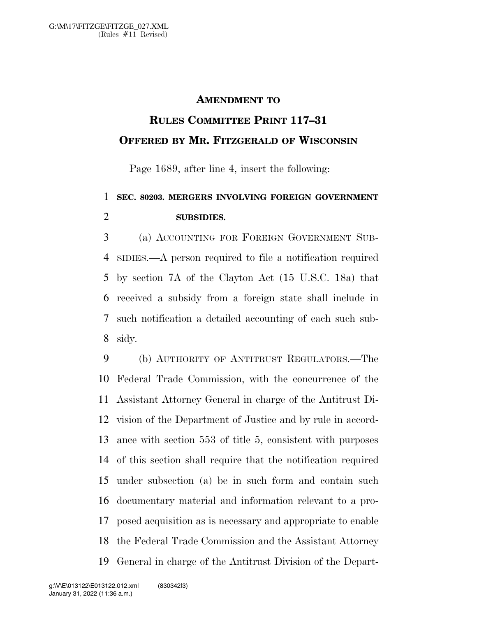## **AMENDMENT TO**

## **RULES COMMITTEE PRINT 117–31 OFFERED BY MR. FITZGERALD OF WISCONSIN**

Page 1689, after line 4, insert the following:

## **SEC. 80203. MERGERS INVOLVING FOREIGN GOVERNMENT SUBSIDIES.**

 (a) ACCOUNTING FOR FOREIGN GOVERNMENT SUB- SIDIES.—A person required to file a notification required by section 7A of the Clayton Act (15 U.S.C. 18a) that received a subsidy from a foreign state shall include in such notification a detailed accounting of each such sub-sidy.

 (b) AUTHORITY OF ANTITRUST REGULATORS.—The Federal Trade Commission, with the concurrence of the Assistant Attorney General in charge of the Antitrust Di- vision of the Department of Justice and by rule in accord- ance with section 553 of title 5, consistent with purposes of this section shall require that the notification required under subsection (a) be in such form and contain such documentary material and information relevant to a pro- posed acquisition as is necessary and appropriate to enable the Federal Trade Commission and the Assistant Attorney General in charge of the Antitrust Division of the Depart